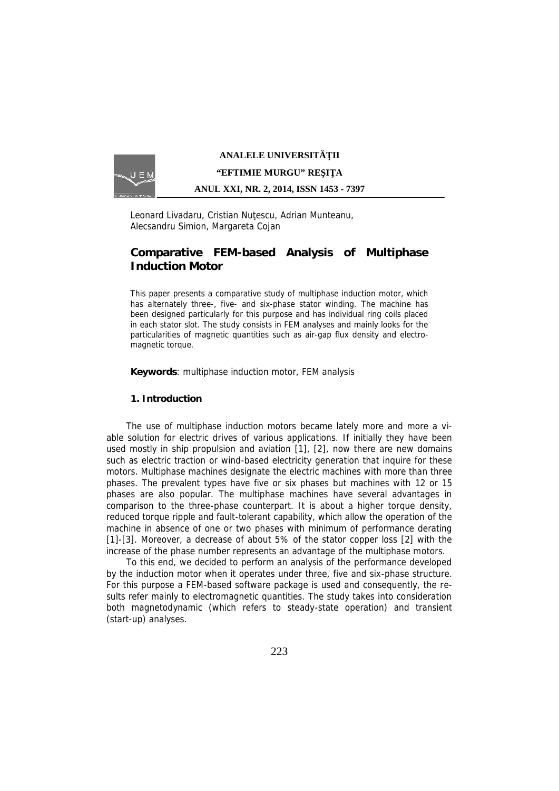

## **ANALELE UNIVERSIT II**

### **"EFTIMIE MURGU" RE I A**

#### **ANUL XXI, NR. 2, 2014, ISSN 1453 - 7397**

Leonard Livadaru, Cristian Nu escu, Adrian Munteanu, Alecsandru Simion, Margareta Cojan

# **Comparative FEM-based Analysis of Multiphase Induction Motor**

*This paper presents a comparative study of multiphase induction motor, which has alternately three-, five- and six-phase stator winding. The machine has been designed particularly for this purpose and has individual ring coils placed in each stator slot. The study consists in FEM analyses and mainly looks for the particularities of magnetic quantities such as air-gap flux density and electromagnetic torque.*

*Keywords: multiphase induction motor, FEM analysis*

**1. Introduction**

The use of multiphase induction motors became lately more and more a viable solution for electric drives of various applications. If initially they have been used mostly in ship propulsion and aviation [1], [2], now there are new domains such as electric traction or wind-based electricity generation that inquire for these motors. Multiphase machines designate the electric machines with more than three phases. The prevalent types have five or six phases but machines with 12 or 15 phases are also popular. The multiphase machines have several advantages in comparison to the three-phase counterpart. It is about a higher torque density, reduced torque ripple and fault-tolerant capability, which allow the operation of the machine in absence of one or two phases with minimum of performance derating [1]-[3]. Moreover, a decrease of about 5% of the stator copper loss [2] with the increase of the phase number represents an advantage of the multiphase motors.

To this end, we decided to perform an analysis of the performance developed by the induction motor when it operates under three, five and six-phase structure. For this purpose a FEM-based software package is used and consequently, the results refer mainly to electromagnetic quantities. The study takes into consideration both magnetodynamic (which refers to steady-state operation) and transient (start-up) analyses.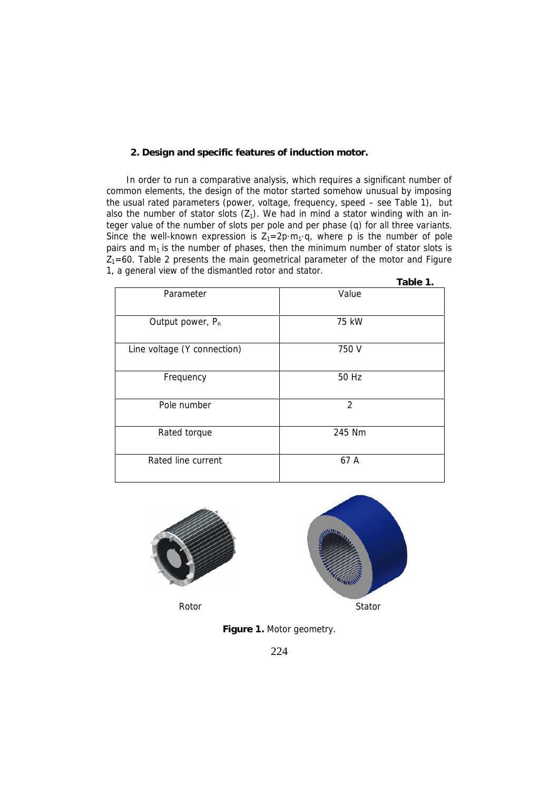### **2. Design and specific features of induction motor.**

In order to run a comparative analysis, which requires a significant number of common elements, the design of the motor started somehow unusual by imposing the usual rated parameters (power, voltage, frequency, speed – see Table 1), but also the number of stator slots  $(Z_1)$ . We had in mind a stator winding with an integer value of the number of slots per pole and per phase (q) for all three variants. Since the well-known expression is  $Z_1 = 2p \cdot m_1 \cdot q$ , where p is the number of pole pairs and *m<sup>1</sup>* is the number of phases, then the minimum number of stator slots is  $Z_1$ =60. Table 2 presents the main geometrical parameter of the motor and Figure 1, a general view of the dismantled rotor and stator.

|                              | Table 1.       |
|------------------------------|----------------|
| Parameter                    | Value          |
| Output power, P <sub>n</sub> | 75 kW          |
| Line voltage (Y connection)  | 750 V          |
| Frequency                    | 50 Hz          |
| Pole number                  | $\mathfrak{D}$ |
| Rated torque                 | 245 Nm         |
| Rated line current           | 67 A           |





**Figure 1.** Motor geometry.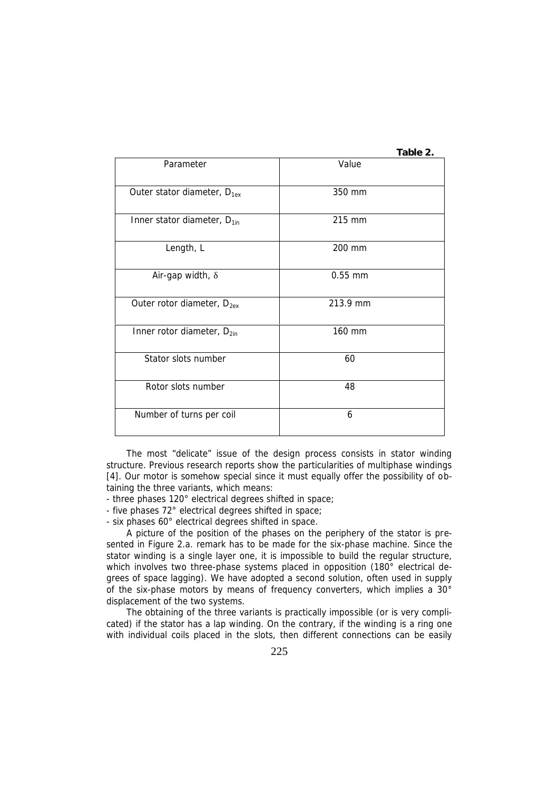|                                         | Table 2.  |
|-----------------------------------------|-----------|
| Parameter                               | Value     |
| Outer stator diameter, D <sub>1ex</sub> | 350 mm    |
| Inner stator diameter, D <sub>1in</sub> | 215 mm    |
| Length, L                               | 200 mm    |
| Air-gap width,                          | $0.55$ mm |
| Outer rotor diameter, D <sub>2ex</sub>  | 213.9 mm  |
| Inner rotor diameter, $D_{2in}$         | 160 mm    |
| Stator slots number                     | 60        |
| Rotor slots number                      | 48        |
| Number of turns per coil                | 6         |

The most "delicate" issue of the design process consists in stator winding structure. Previous research reports show the particularities of multiphase windings [4]. Our motor is somehow special since it must equally offer the possibility of obtaining the three variants, which means:

- three phases 120° electrical degrees shifted in space;
- five phases 72° electrical degrees shifted in space;
- six phases 60° electrical degrees shifted in space.

A picture of the position of the phases on the periphery of the stator is presented in Figure 2.a. remark has to be made for the six-phase machine. Since the stator winding is a single layer one, it is impossible to build the regular structure, which involves two three-phase systems placed in opposition (180° electrical degrees of space lagging). We have adopted a second solution, often used in supply of the six-phase motors by means of frequency converters, which implies a 30° displacement of the two systems.

The obtaining of the three variants is practically impossible (or is very complicated) if the stator has a lap winding. On the contrary, if the winding is a ring one with individual coils placed in the slots, then different connections can be easily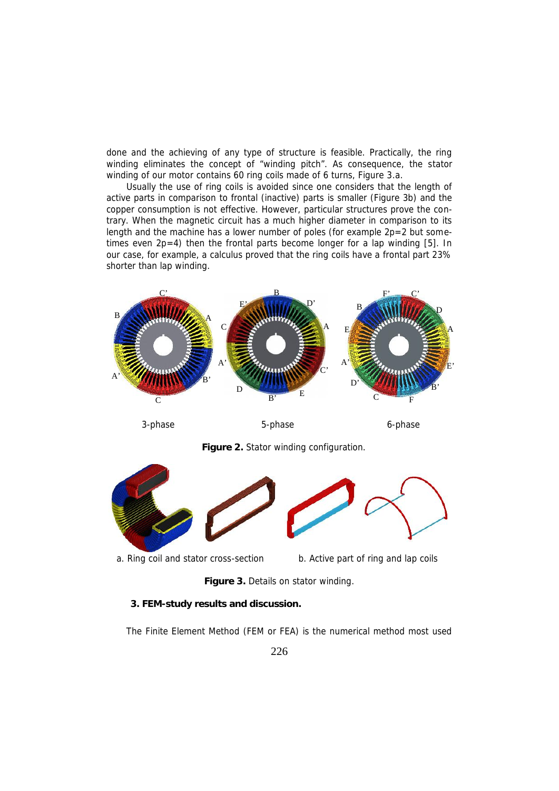done and the achieving of any type of structure is feasible. Practically, the ring winding eliminates the concept of "winding pitch". As consequence, the stator winding of our motor contains 60 ring coils made of 6 turns, Figure 3.a.

Usually the use of ring coils is avoided since one considers that the length of active parts in comparison to frontal (inactive) parts is smaller (Figure 3b) and the copper consumption is not effective. However, particular structures prove the contrary. When the magnetic circuit has a much higher diameter in comparison to its length and the machine has a lower number of poles (for example  $2p=2$  but sometimes even 2p=4) then the frontal parts become longer for a lap winding [5]. In our case, for example, a calculus proved that the ring coils have a frontal part 23% shorter than lap winding.



**Figure 3.** Details on stator winding.

**3. FEM-study results and discussion.**

The Finite Element Method (FEM or FEA) is the numerical method most used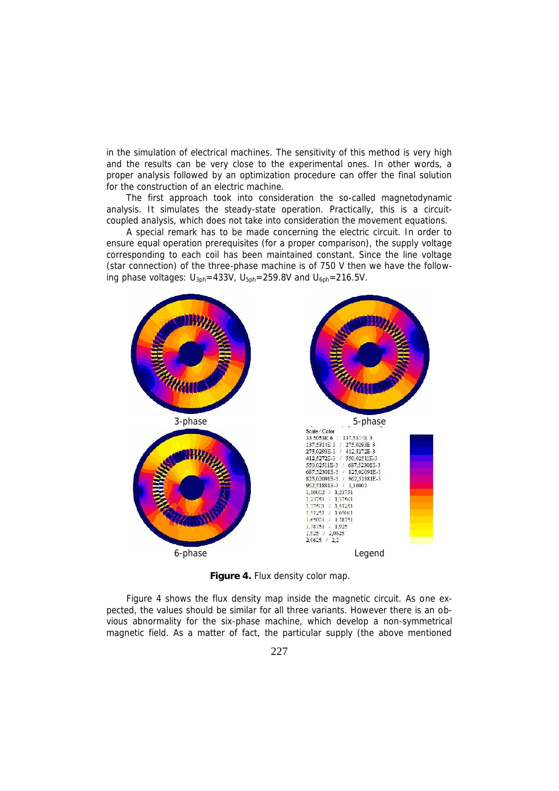in the simulation of electrical machines. The sensitivity of this method is very high and the results can be very close to the experimental ones. In other words, a proper analysis followed by an optimization procedure can offer the final solution for the construction of an electric machine.

The first approach took into consideration the so-called magnetodynamic analysis. It simulates the steady-state operation. Practically, this is a circuit coupled analysis, which does not take into consideration the movement equations.

A special remark has to be made concerning the electric circuit. In order to ensure equal operation prerequisites (for a proper comparison), the supply voltage corresponding to each coil has been maintained constant. Since the line voltage (star connection) of the three-phase machine is of 750 V then we have the following phase voltages:  $U_{3ph}$ =433V,  $U_{5ph}$ =259.8V and  $U_{6ph}$ =216.5V.



**Figure 4.** Flux density color map.

Figure 4 shows the flux density map inside the magnetic circuit. As one expected, the values should be similar for all three variants. However there is an obvious abnormality for the six-phase machine, which develop a non-symmetrical magnetic field. As a matter of fact, the particular supply (the above mentioned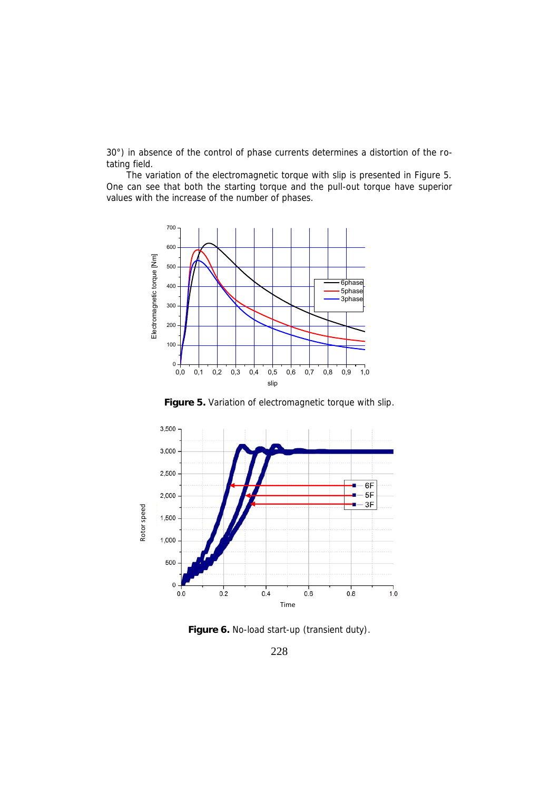30°) in absence of the control of phase currents determines a distortion of the rotating field.

The variation of the electromagnetic torque with slip is presented in Figure 5. One can see that both the starting torque and the pull-out torque have superior values with the increase of the number of phases.



**Figure 5.** Variation of electromagnetic torque with slip.



**Figure 6.** No-load start-up (transient duty).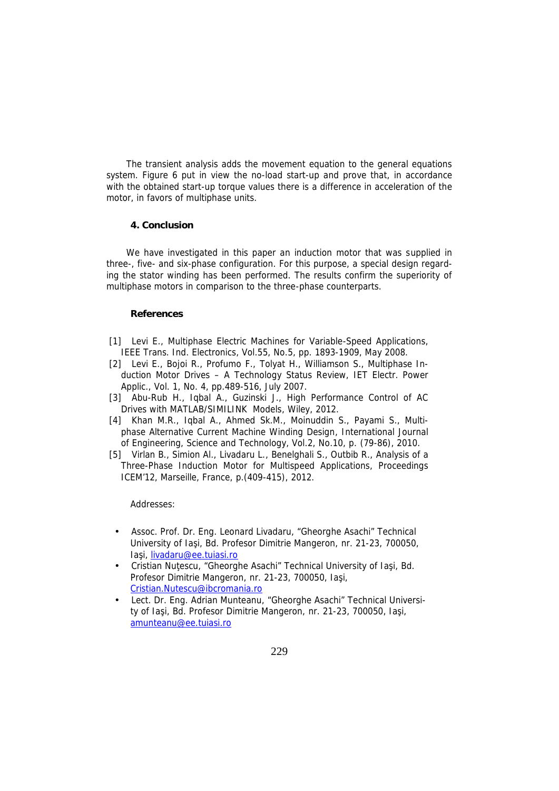The transient analysis adds the movement equation to the general equations system. Figure 6 put in view the no-load start-up and prove that, in accordance with the obtained start-up torque values there is a difference in acceleration of the motor, in favors of multiphase units.

## **4. Conclusion**

We have investigated in this paper an induction motor that was supplied in three-, five- and six-phase configuration. For this purpose, a special design regarding the stator winding has been performed. The results confirm the superiority of multiphase motors in comparison to the three-phase counterparts.

### **References**

- [1] Levi E., *Multiphase Electric Machines for Variable-Speed Applications*, IEEE Trans. Ind. Electronics, Vol.55, No.5, pp. 1893-1909, May 2008.
- [2] Levi E., Bojoi R., Profumo F., Tolyat H., Williamson S., *Multiphase Induction Motor Drives – A Technology Status Review*, IET Electr. Power Applic., Vol. 1, No. 4, pp.489-516, July 2007.
- [3] Abu-Rub H., Iqbal A., Guzinski J., *High Performance Control of AC Drives with MATLAB/SIMILINK Models*, Wiley, 2012.
- [4] Khan M.R., Iqbal A., Ahmed Sk.M., Moinuddin S., Payami S., *Multi phase Alternative Current Machine Winding Design*, International Journal of Engineering, Science and Technology, Vol.2, No.10, p. (79-86), 2010.
- [5] Virlan B., Simion Al., Livadaru L., Benelghali S., Outbib R., *Analysis of a Three-Phase Induction Motor for Multispeed Applications*, Proceedings ICEM'12, Marseille, France, p.(409-415), 2012.

*Addresses:*

- Assoc. Prof. Dr. Eng. Leonard Livadaru, "Gheorghe Asachi" Technical University of Ia i, Bd. Profesor Dimitrie Mangeron, nr. 21-23, 700050, la i, livadaru@ee.tuiasi.ro
- Cristian Nu escu, "Gheorghe Asachi" Technical University of Ia i, Bd. Profesor Dimitrie Mangeron, nr. 21-23, 700050, Ia j. Cristian.Nutescu@ibcromania.ro
- Lect. Dr. Eng. Adrian Munteanu, "Gheorghe Asachi" Technical University of Ia i, Bd. Profesor Dimitrie Mangeron, nr. 21-23, 700050, Ia i, amunteanu@ee.tuiasi.ro